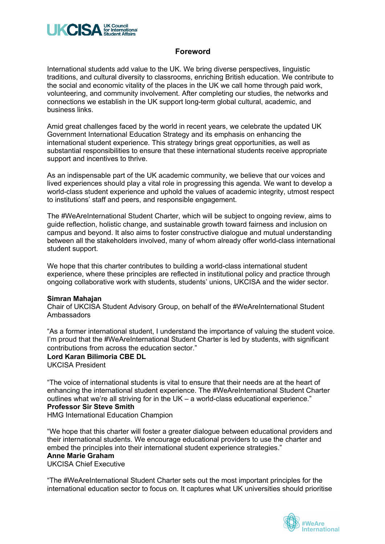

## **Foreword**

International students add value to the UK. We bring diverse perspectives, linguistic traditions, and cultural diversity to classrooms, enriching British education. We contribute to the social and economic vitality of the places in the UK we call home through paid work, volunteering, and community involvement. After completing our studies, the networks and connections we establish in the UK support long-term global cultural, academic, and business links.

Amid great challenges faced by the world in recent years, we celebrate the updated UK Government International Education Strategy and its emphasis on enhancing the international student experience. This strategy brings great opportunities, as well as substantial responsibilities to ensure that these international students receive appropriate support and incentives to thrive.

As an indispensable part of the UK academic community, we believe that our voices and lived experiences should play a vital role in progressing this agenda. We want to develop a world-class student experience and uphold the values of academic integrity, utmost respect to institutions' staff and peers, and responsible engagement.

The #WeAreInternational Student Charter, which will be subject to ongoing review, aims to guide reflection, holistic change, and sustainable growth toward fairness and inclusion on campus and beyond. It also aims to foster constructive dialogue and mutual understanding between all the stakeholders involved, many of whom already offer world-class international student support.

We hope that this charter contributes to building a world-class international student experience, where these principles are reflected in institutional policy and practice through ongoing collaborative work with students, students' unions, UKCISA and the wider sector.

#### **Simran Mahajan**

Chair of UKCISA Student Advisory Group, on behalf of the #WeAreInternational Student Ambassadors

"As a former international student, I understand the importance of valuing the student voice. I'm proud that the #WeAreInternational Student Charter is led by students, with significant contributions from across the education sector."

#### **Lord Karan Bilimoria CBE DL**

UKCISA President

"The voice of international students is vital to ensure that their needs are at the heart of enhancing the international student experience. The #WeAreInternational Student Charter outlines what we're all striving for in the UK – a world-class educational experience." **Professor Sir Steve Smith**

HMG International Education Champion

"We hope that this charter will foster a greater dialogue between educational providers and their international students. We encourage educational providers to use the charter and embed the principles into their international student experience strategies."

# **Anne Marie Graham**

UKCISA Chief Executive

"The #WeAreInternational Student Charter sets out the most important principles for the international education sector to focus on. It captures what UK universities should prioritise

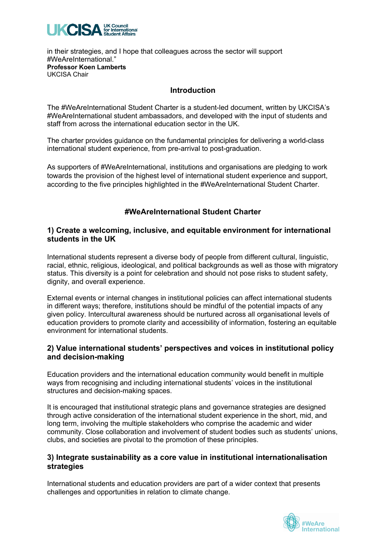

in their strategies, and I hope that colleagues across the sector will support #WeAreInternational." **Professor Koen Lamberts** UKCISA Chair

#### **Introduction**

The #WeAreInternational Student Charter is a student-led document, written by UKCISA's #WeAreInternational student ambassadors, and developed with the input of students and staff from across the international education sector in the UK.

The charter provides guidance on the fundamental principles for delivering a world-class international student experience, from pre-arrival to post-graduation.

As supporters of #WeAreInternational, institutions and organisations are pledging to work towards the provision of the highest level of international student experience and support, according to the five principles highlighted in the #WeAreInternational Student Charter.

# **#WeAreInternational Student Charter**

#### **1) Create a welcoming, inclusive, and equitable environment for international students in the UK**

International students represent a diverse body of people from different cultural, linguistic, racial, ethnic, religious, ideological, and political backgrounds as well as those with migratory status. This diversity is a point for celebration and should not pose risks to student safety, dignity, and overall experience.

External events or internal changes in institutional policies can affect international students in different ways; therefore, institutions should be mindful of the potential impacts of any given policy. Intercultural awareness should be nurtured across all organisational levels of education providers to promote clarity and accessibility of information, fostering an equitable environment for international students.

## **2) Value international students' perspectives and voices in institutional policy and decision-making**

Education providers and the international education community would benefit in multiple ways from recognising and including international students' voices in the institutional structures and decision-making spaces.

It is encouraged that institutional strategic plans and governance strategies are designed through active consideration of the international student experience in the short, mid, and long term, involving the multiple stakeholders who comprise the academic and wider community. Close collaboration and involvement of student bodies such as students' unions, clubs, and societies are pivotal to the promotion of these principles.

## **3) Integrate sustainability as a core value in institutional internationalisation strategies**

International students and education providers are part of a wider context that presents challenges and opportunities in relation to climate change.

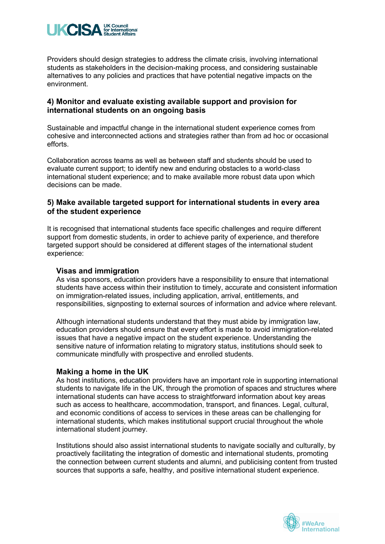

Providers should design strategies to address the climate crisis, involving international students as stakeholders in the decision-making process, and considering sustainable alternatives to any policies and practices that have potential negative impacts on the environment.

## **4) Monitor and evaluate existing available support and provision for international students on an ongoing basis**

Sustainable and impactful change in the international student experience comes from cohesive and interconnected actions and strategies rather than from ad hoc or occasional efforts.

Collaboration across teams as well as between staff and students should be used to evaluate current support; to identify new and enduring obstacles to a world-class international student experience; and to make available more robust data upon which decisions can be made.

## **5) Make available targeted support for international students in every area of the student experience**

It is recognised that international students face specific challenges and require different support from domestic students, in order to achieve parity of experience, and therefore targeted support should be considered at different stages of the international student experience:

#### **Visas and immigration**

As visa sponsors, education providers have a responsibility to ensure that international students have access within their institution to timely, accurate and consistent information on immigration-related issues, including application, arrival, entitlements, and responsibilities, signposting to external sources of information and advice where relevant.

Although international students understand that they must abide by immigration law, education providers should ensure that every effort is made to avoid immigration-related issues that have a negative impact on the student experience. Understanding the sensitive nature of information relating to migratory status, institutions should seek to communicate mindfully with prospective and enrolled students.

#### **Making a home in the UK**

As host institutions, education providers have an important role in supporting international students to navigate life in the UK, through the promotion of spaces and structures where international students can have access to straightforward information about key areas such as access to healthcare, accommodation, transport, and finances. Legal, cultural, and economic conditions of access to services in these areas can be challenging for international students, which makes institutional support crucial throughout the whole international student journey.

Institutions should also assist international students to navigate socially and culturally, by proactively facilitating the integration of domestic and international students, promoting the connection between current students and alumni, and publicising content from trusted sources that supports a safe, healthy, and positive international student experience.